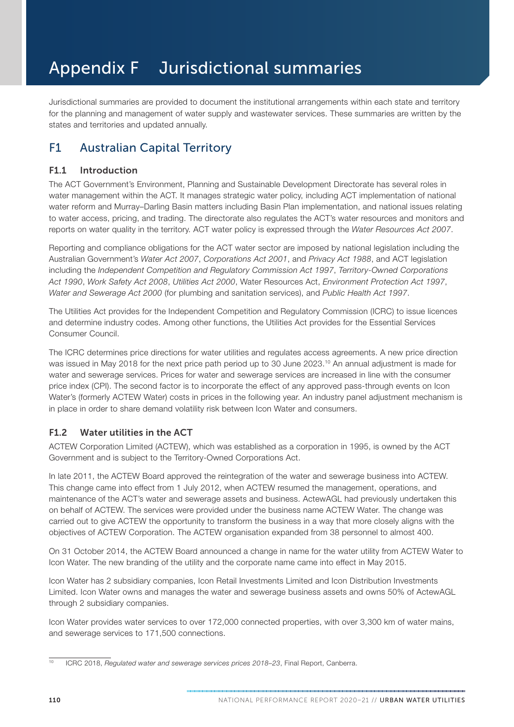# Appendix F Jurisdictional summaries

Jurisdictional summaries are provided to document the institutional arrangements within each state and territory for the planning and management of water supply and wastewater services. These summaries are written by the states and territories and updated annually.

# F1 Australian Capital Territory

### F1.1 Introduction

The ACT Government's Environment, Planning and Sustainable Development Directorate has several roles in water management within the ACT. It manages strategic water policy, including ACT implementation of national water reform and Murray–Darling Basin matters including Basin Plan implementation, and national issues relating to water access, pricing, and trading. The directorate also regulates the ACT's water resources and monitors and reports on water quality in the territory. ACT water policy is expressed through the *Water Resources Act 2007*.

Reporting and compliance obligations for the ACT water sector are imposed by national legislation including the Australian Government's *Water Act 2007*, *Corporations Act 2001*, and *Privacy Act 1988*, and ACT legislation including the *Independent Competition and Regulatory Commission Act 1997*, *Territory-Owned Corporations Act 1990*, *Work Safety Act 2008*, *Utilities Act 2000*, Water Resources Act, *Environment Protection Act 1997*, *Water and Sewerage Act 2000* (for plumbing and sanitation services), and *Public Health Act 1997*.

The Utilities Act provides for the Independent Competition and Regulatory Commission (ICRC) to issue licences and determine industry codes. Among other functions, the Utilities Act provides for the Essential Services Consumer Council.

The ICRC determines price directions for water utilities and regulates access agreements. A new price direction was issued in May 2018 for the next price path period up to 30 June 2023.<sup>10</sup> An annual adjustment is made for water and sewerage services. Prices for water and sewerage services are increased in line with the consumer price index (CPI). The second factor is to incorporate the effect of any approved pass-through events on Icon Water's (formerly ACTEW Water) costs in prices in the following year. An industry panel adjustment mechanism is in place in order to share demand volatility risk between Icon Water and consumers.

# F1.2 Water utilities in the ACT

ACTEW Corporation Limited (ACTEW), which was established as a corporation in 1995, is owned by the ACT Government and is subject to the Territory-Owned Corporations Act.

In late 2011, the ACTEW Board approved the reintegration of the water and sewerage business into ACTEW. This change came into effect from 1 July 2012, when ACTEW resumed the management, operations, and maintenance of the ACT's water and sewerage assets and business. ActewAGL had previously undertaken this on behalf of ACTEW. The services were provided under the business name ACTEW Water. The change was carried out to give ACTEW the opportunity to transform the business in a way that more closely aligns with the objectives of ACTEW Corporation. The ACTEW organisation expanded from 38 personnel to almost 400.

On 31 October 2014, the ACTEW Board announced a change in name for the water utility from ACTEW Water to Icon Water. The new branding of the utility and the corporate name came into effect in May 2015.

Icon Water has 2 subsidiary companies, Icon Retail Investments Limited and Icon Distribution Investments Limited. Icon Water owns and manages the water and sewerage business assets and owns 50% of ActewAGL through 2 subsidiary companies.

Icon Water provides water services to over 172,000 connected properties, with over 3,300 km of water mains, and sewerage services to 171,500 connections.

<sup>10</sup> ICRC 2018, *Regulated water and sewerage services prices 2018–23*, Final Report, Canberra.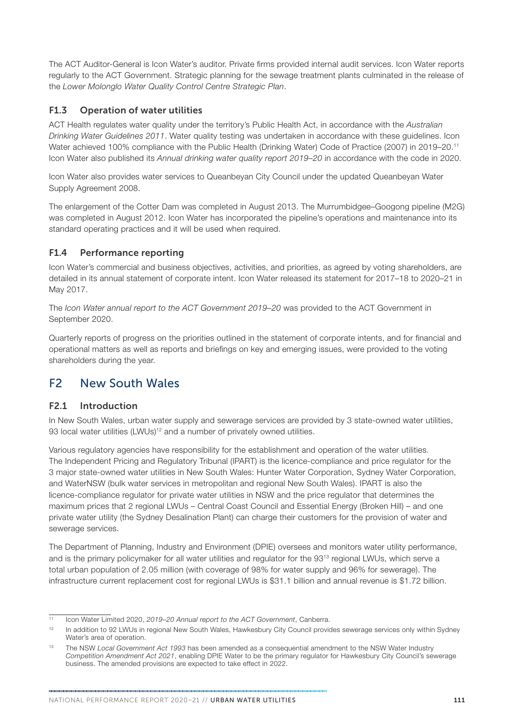The ACT Auditor-General is Icon Water's auditor. Private firms provided internal audit services. Icon Water reports regularly to the ACT Government. Strategic planning for the sewage treatment plants culminated in the release of the *Lower Molonglo Water Quality Control Centre Strategic Plan*.

### F1.3 Operation of water utilities

ACT Health regulates water quality under the territory's Public Health Act, in accordance with the *Australian Drinking Water Guidelines 2011*. Water quality testing was undertaken in accordance with these guidelines. Icon Water achieved 100% compliance with the Public Health (Drinking Water) Code of Practice (2007) in 2019–20.11 Icon Water also published its *Annual drinking water quality report 2019–20* in accordance with the code in 2020.

Icon Water also provides water services to Queanbeyan City Council under the updated Queanbeyan Water Supply Agreement 2008.

The enlargement of the Cotter Dam was completed in August 2013. The Murrumbidgee–Googong pipeline (M2G) was completed in August 2012. Icon Water has incorporated the pipeline's operations and maintenance into its standard operating practices and it will be used when required.

# F1.4 Performance reporting

Icon Water's commercial and business objectives, activities, and priorities, as agreed by voting shareholders, are detailed in its annual statement of corporate intent. Icon Water released its statement for 2017–18 to 2020–21 in May 2017.

The *Icon Water annual report to the ACT Government 2019–20* was provided to the ACT Government in September 2020.

Quarterly reports of progress on the priorities outlined in the statement of corporate intents, and for financial and operational matters as well as reports and briefings on key and emerging issues, were provided to the voting shareholders during the year.

# F2 New South Wales

#### F2.1 Introduction

In New South Wales, urban water supply and sewerage services are provided by 3 state-owned water utilities, 93 local water utilities (LWUs)<sup>12</sup> and a number of privately owned utilities.

Various regulatory agencies have responsibility for the establishment and operation of the water utilities. The Independent Pricing and Regulatory Tribunal (IPART) is the licence-compliance and price regulator for the 3 major state-owned water utilities in New South Wales: Hunter Water Corporation, Sydney Water Corporation, and WaterNSW (bulk water services in metropolitan and regional New South Wales). IPART is also the licence-compliance regulator for private water utilities in NSW and the price regulator that determines the maximum prices that 2 regional LWUs – Central Coast Council and Essential Energy (Broken Hill) – and one private water utility (the Sydney Desalination Plant) can charge their customers for the provision of water and sewerage services.

The Department of Planning, Industry and Environment (DPIE) oversees and monitors water utility performance, and is the primary policymaker for all water utilities and regulator for the 93<sup>13</sup> regional LWUs, which serve a total urban population of 2.05 million (with coverage of 98% for water supply and 96% for sewerage). The infrastructure current replacement cost for regional LWUs is \$31.1 billion and annual revenue is \$1.72 billion.

<sup>11</sup> Icon Water Limited 2020, *2019–20 Annual report to the ACT Government*, Canberra.

<sup>&</sup>lt;sup>12</sup> In addition to 92 LWUs in regional New South Wales, Hawkesbury City Council provides sewerage services only within Sydney Water's area of operation.

<sup>13</sup> The NSW *Local Government Act 1993* has been amended as a consequential amendment to the NSW Water Industry *Competition Amendment Act 2021*, enabling DPIE Water to be the primary regulator for Hawkesbury City Council's sewerage business. The amended provisions are expected to take effect in 2022.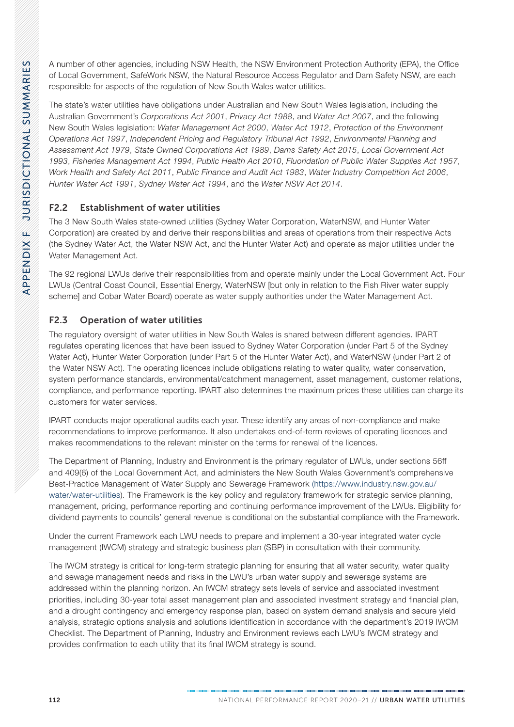APPENDIX F JURISDICTIONAL SUMMARIES APPENDIX F JURISDICTIONAL SUMMARIES

A number of other agencies, including NSW Health, the NSW Environment Protection Authority (EPA), the Office of Local Government, SafeWork NSW, the Natural Resource Access Regulator and Dam Safety NSW, are each responsible for aspects of the regulation of New South Wales water utilities.

The state's water utilities have obligations under Australian and New South Wales legislation, including the Australian Government's *Corporations Act 2001*, *Privacy Act 1988*, and *Water Act 2007*, and the following New South Wales legislation: *Water Management Act 2000*, *Water Act 1912*, *Protection of the Environment Operations Act 1997*, *Independent Pricing and Regulatory Tribunal Act 1992*, *Environmental Planning and Assessment Act 1979*, *State Owned Corporations Act 1989*, *Dams Safety Act 2015*, *Local Government Act 1993*, *Fisheries Management Act 1994*, *Public Health Act 2010*, *Fluoridation of Public Water Supplies Act 1957*, *Work Health and Safety Act 2011*, *Public Finance and Audit Act 1983*, *Water Industry Competition Act 2006*, *Hunter Water Act 1991*, *Sydney Water Act 1994*, and the *Water NSW Act 2014*.

# F2.2 Establishment of water utilities

The 3 New South Wales state-owned utilities (Sydney Water Corporation, WaterNSW, and Hunter Water Corporation) are created by and derive their responsibilities and areas of operations from their respective Acts (the Sydney Water Act, the Water NSW Act, and the Hunter Water Act) and operate as major utilities under the Water Management Act.

The 92 regional LWUs derive their responsibilities from and operate mainly under the Local Government Act. Four LWUs (Central Coast Council, Essential Energy, WaterNSW [but only in relation to the Fish River water supply scheme] and Cobar Water Board) operate as water supply authorities under the Water Management Act.

# F2.3 Operation of water utilities

The regulatory oversight of water utilities in New South Wales is shared between different agencies. IPART regulates operating licences that have been issued to Sydney Water Corporation (under Part 5 of the Sydney Water Act), Hunter Water Corporation (under Part 5 of the Hunter Water Act), and WaterNSW (under Part 2 of the Water NSW Act). The operating licences include obligations relating to water quality, water conservation, system performance standards, environmental/catchment management, asset management, customer relations, compliance, and performance reporting. IPART also determines the maximum prices these utilities can charge its customers for water services.

IPART conducts major operational audits each year. These identify any areas of non-compliance and make recommendations to improve performance. It also undertakes end-of-term reviews of operating licences and makes recommendations to the relevant minister on the terms for renewal of the licences.

The Department of Planning, Industry and Environment is the primary regulator of LWUs, under sections 56ff and 409(6) of the Local Government Act, and administers the New South Wales Government's comprehensive Best-Practice Management of Water Supply and Sewerage Framework [\(https://www.industry.nsw.gov.au/](https://www.industry.nsw.gov.au/water/water-utilities) [water/water-utilities\)](https://www.industry.nsw.gov.au/water/water-utilities). The Framework is the key policy and regulatory framework for strategic service planning, management, pricing, performance reporting and continuing performance improvement of the LWUs. Eligibility for dividend payments to councils' general revenue is conditional on the substantial compliance with the Framework.

Under the current Framework each LWU needs to prepare and implement a 30-year integrated water cycle management (IWCM) strategy and strategic business plan (SBP) in consultation with their community.

The IWCM strategy is critical for long-term strategic planning for ensuring that all water security, water quality and sewage management needs and risks in the LWU's urban water supply and sewerage systems are addressed within the planning horizon. An IWCM strategy sets levels of service and associated investment priorities, including 30-year total asset management plan and associated investment strategy and financial plan, and a drought contingency and emergency response plan, based on system demand analysis and secure yield analysis, strategic options analysis and solutions identification in accordance with the department's 2019 IWCM Checklist. The Department of Planning, Industry and Environment reviews each LWU's IWCM strategy and provides confirmation to each utility that its final IWCM strategy is sound.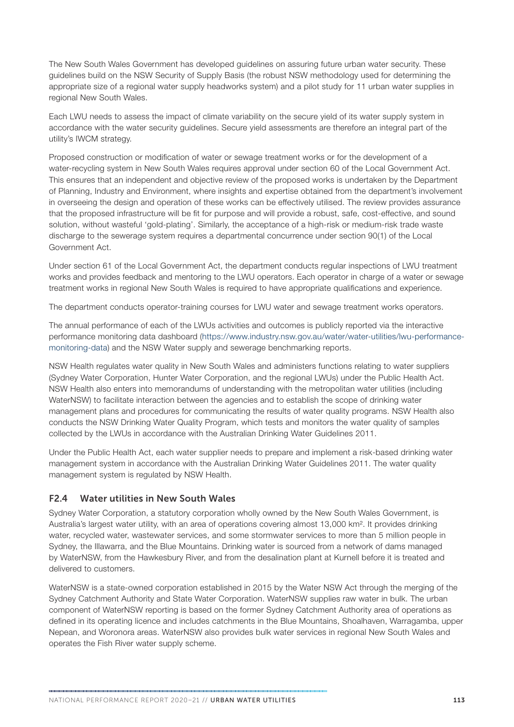The New South Wales Government has developed guidelines on assuring future urban water security. These guidelines build on the NSW Security of Supply Basis (the robust NSW methodology used for determining the appropriate size of a regional water supply headworks system) and a pilot study for 11 urban water supplies in regional New South Wales.

Each LWU needs to assess the impact of climate variability on the secure yield of its water supply system in accordance with the water security guidelines. Secure yield assessments are therefore an integral part of the utility's IWCM strategy.

Proposed construction or modification of water or sewage treatment works or for the development of a water-recycling system in New South Wales requires approval under section 60 of the Local Government Act. This ensures that an independent and objective review of the proposed works is undertaken by the Department of Planning, Industry and Environment, where insights and expertise obtained from the department's involvement in overseeing the design and operation of these works can be effectively utilised. The review provides assurance that the proposed infrastructure will be fit for purpose and will provide a robust, safe, cost-effective, and sound solution, without wasteful 'gold-plating'. Similarly, the acceptance of a high-risk or medium-risk trade waste discharge to the sewerage system requires a departmental concurrence under section 90(1) of the Local Government Act.

Under section 61 of the Local Government Act, the department conducts regular inspections of LWU treatment works and provides feedback and mentoring to the LWU operators. Each operator in charge of a water or sewage treatment works in regional New South Wales is required to have appropriate qualifications and experience.

The department conducts operator-training courses for LWU water and sewage treatment works operators.

The annual performance of each of the LWUs activities and outcomes is publicly reported via the interactive performance monitoring data dashboard [\(https://www.industry.nsw.gov.au/water/water-utilities/lwu-performance](https://www.industry.nsw.gov.au/water/water-utilities/lwu-performance-monitoring-data)[monitoring-data](https://www.industry.nsw.gov.au/water/water-utilities/lwu-performance-monitoring-data)) and the NSW Water supply and sewerage benchmarking reports.

NSW Health regulates water quality in New South Wales and administers functions relating to water suppliers (Sydney Water Corporation, Hunter Water Corporation, and the regional LWUs) under the Public Health Act. NSW Health also enters into memorandums of understanding with the metropolitan water utilities (including WaterNSW) to facilitate interaction between the agencies and to establish the scope of drinking water management plans and procedures for communicating the results of water quality programs. NSW Health also conducts the NSW Drinking Water Quality Program, which tests and monitors the water quality of samples collected by the LWUs in accordance with the Australian Drinking Water Guidelines 2011.

Under the Public Health Act, each water supplier needs to prepare and implement a risk-based drinking water management system in accordance with the Australian Drinking Water Guidelines 2011. The water quality management system is regulated by NSW Health.

#### F2.4 Water utilities in New South Wales

Sydney Water Corporation, a statutory corporation wholly owned by the New South Wales Government, is Australia's largest water utility, with an area of operations covering almost 13,000 km2. It provides drinking water, recycled water, wastewater services, and some stormwater services to more than 5 million people in Sydney, the Illawarra, and the Blue Mountains. Drinking water is sourced from a network of dams managed by WaterNSW, from the Hawkesbury River, and from the desalination plant at Kurnell before it is treated and delivered to customers.

WaterNSW is a state-owned corporation established in 2015 by the Water NSW Act through the merging of the Sydney Catchment Authority and State Water Corporation. WaterNSW supplies raw water in bulk. The urban component of WaterNSW reporting is based on the former Sydney Catchment Authority area of operations as defined in its operating licence and includes catchments in the Blue Mountains, Shoalhaven, Warragamba, upper Nepean, and Woronora areas. WaterNSW also provides bulk water services in regional New South Wales and operates the Fish River water supply scheme.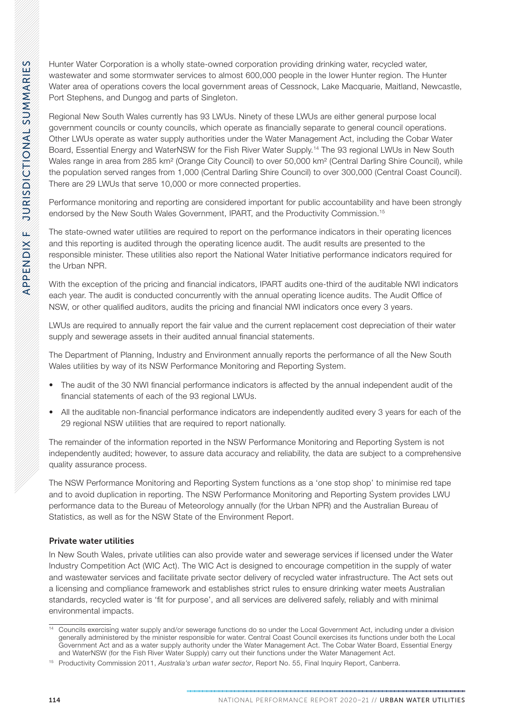Hunter Water Corporation is a wholly state-owned corporation providing drinking water, recycled water, wastewater and some stormwater services to almost 600,000 people in the lower Hunter region. The Hunter Water area of operations covers the local government areas of Cessnock, Lake Macquarie, Maitland, Newcastle, Port Stephens, and Dungog and parts of Singleton.

Regional New South Wales currently has 93 LWUs. Ninety of these LWUs are either general purpose local government councils or county councils, which operate as financially separate to general council operations. Other LWUs operate as water supply authorities under the Water Management Act, including the Cobar Water Board, Essential Energy and WaterNSW for the Fish River Water Supply.14 The 93 regional LWUs in New South Wales range in area from 285 km<sup>2</sup> (Orange City Council) to over 50,000 km<sup>2</sup> (Central Darling Shire Council), while the population served ranges from 1,000 (Central Darling Shire Council) to over 300,000 (Central Coast Council). There are 29 LWUs that serve 10,000 or more connected properties.

Performance monitoring and reporting are considered important for public accountability and have been strongly endorsed by the New South Wales Government, IPART, and the Productivity Commission.15

The state-owned water utilities are required to report on the performance indicators in their operating licences and this reporting is audited through the operating licence audit. The audit results are presented to the responsible minister. These utilities also report the National Water Initiative performance indicators required for the Urban NPR.

With the exception of the pricing and financial indicators, IPART audits one-third of the auditable NWI indicators each year. The audit is conducted concurrently with the annual operating licence audits. The Audit Office of NSW, or other qualified auditors, audits the pricing and financial NWI indicators once every 3 years.

LWUs are required to annually report the fair value and the current replacement cost depreciation of their water supply and sewerage assets in their audited annual financial statements.

The Department of Planning, Industry and Environment annually reports the performance of all the New South Wales utilities by way of its NSW Performance Monitoring and Reporting System.

- The audit of the 30 NWI financial performance indicators is affected by the annual independent audit of the financial statements of each of the 93 regional LWUs.
- All the auditable non-financial performance indicators are independently audited every 3 years for each of the 29 regional NSW utilities that are required to report nationally.

The remainder of the information reported in the NSW Performance Monitoring and Reporting System is not independently audited; however, to assure data accuracy and reliability, the data are subject to a comprehensive quality assurance process.

The NSW Performance Monitoring and Reporting System functions as a 'one stop shop' to minimise red tape and to avoid duplication in reporting. The NSW Performance Monitoring and Reporting System provides LWU performance data to the Bureau of Meteorology annually (for the Urban NPR) and the Australian Bureau of Statistics, as well as for the NSW State of the Environment Report.

#### Private water utilities

In New South Wales, private utilities can also provide water and sewerage services if licensed under the Water Industry Competition Act (WIC Act). The WIC Act is designed to encourage competition in the supply of water and wastewater services and facilitate private sector delivery of recycled water infrastructure. The Act sets out a licensing and compliance framework and establishes strict rules to ensure drinking water meets Australian standards, recycled water is 'fit for purpose', and all services are delivered safely, reliably and with minimal environmental impacts.

<sup>&</sup>lt;sup>14</sup> Councils exercising water supply and/or sewerage functions do so under the Local Government Act, including under a division generally administered by the minister responsible for water. Central Coast Council exercises its functions under both the Local Government Act and as a water supply authority under the Water Management Act. The Cobar Water Board, Essential Energy and WaterNSW (for the Fish River Water Supply) carry out their functions under the Water Management Act.

<sup>15</sup> Productivity Commission 2011, *Australia's urban water sector*, Report No. 55, Final Inquiry Report, Canberra.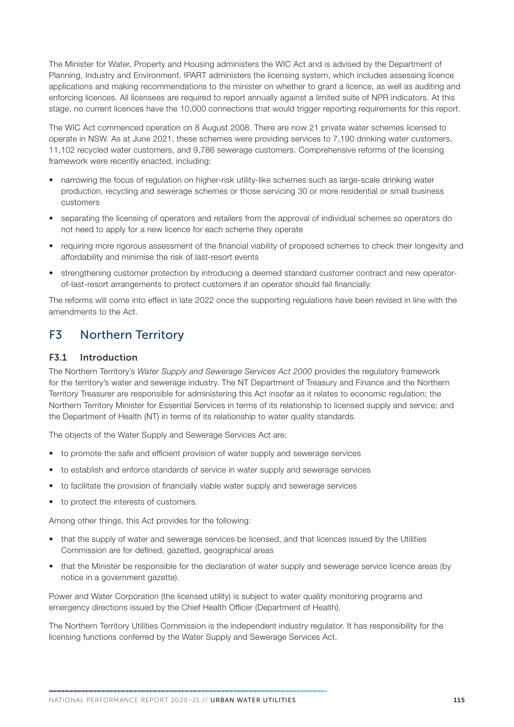The Minister for Water, Property and Housing administers the WIC Act and is advised by the Department of Planning, Industry and Environment. IPART administers the licensing system, which includes assessing licence applications and making recommendations to the minister on whether to grant a licence, as well as auditing and enforcing licences. All licensees are required to report annually against a limited suite of NPR indicators. At this stage, no current licences have the 10,000 connections that would trigger reporting requirements for this report.

The WIC Act commenced operation on 8 August 2008. There are now 21 private water schemes licensed to operate in NSW. As at June 2021, these schemes were providing services to 7,190 drinking water customers, 11,102 recycled water customers, and 9,786 sewerage customers. Comprehensive reforms of the licensing framework were recently enacted, including:

- narrowing the focus of regulation on higher-risk utility-like schemes such as large-scale drinking water production, recycling and sewerage schemes or those servicing 30 or more residential or small business customers
- separating the licensing of operators and retailers from the approval of individual schemes so operators do not need to apply for a new licence for each scheme they operate
- requiring more rigorous assessment of the financial viability of proposed schemes to check their longevity and affordability and minimise the risk of last-resort events
- strengthening customer protection by introducing a deemed standard customer contract and new operatorof-last-resort arrangements to protect customers if an operator should fail financially.

The reforms will come into effect in late 2022 once the supporting regulations have been revised in line with the amendments to the Act.

# F3 Northern Territory

#### F3.1 Introduction

The Northern Territory's *Water Supply and Sewerage Services Act 2000* provides the regulatory framework for the territory's water and sewerage industry. The NT Department of Treasury and Finance and the Northern Territory Treasurer are responsible for administering this Act insofar as it relates to economic regulation; the Northern Territory Minister for Essential Services in terms of its relationship to licensed supply and service; and the Department of Health (NT) in terms of its relationship to water quality standards.

The objects of the Water Supply and Sewerage Services Act are:

- to promote the safe and efficient provision of water supply and sewerage services
- to establish and enforce standards of service in water supply and sewerage services
- to facilitate the provision of financially viable water supply and sewerage services
- to protect the interests of customers.

Among other things, this Act provides for the following:

- that the supply of water and sewerage services be licensed, and that licences issued by the Utilities Commission are for defined, gazetted, geographical areas
- that the Minister be responsible for the declaration of water supply and sewerage service licence areas (by notice in a government gazette).

Power and Water Corporation (the licensed utility) is subject to water quality monitoring programs and emergency directions issued by the Chief Health Officer (Department of Health).

The Northern Territory Utilities Commission is the independent industry regulator. It has responsibility for the licensing functions conferred by the Water Supply and Sewerage Services Act.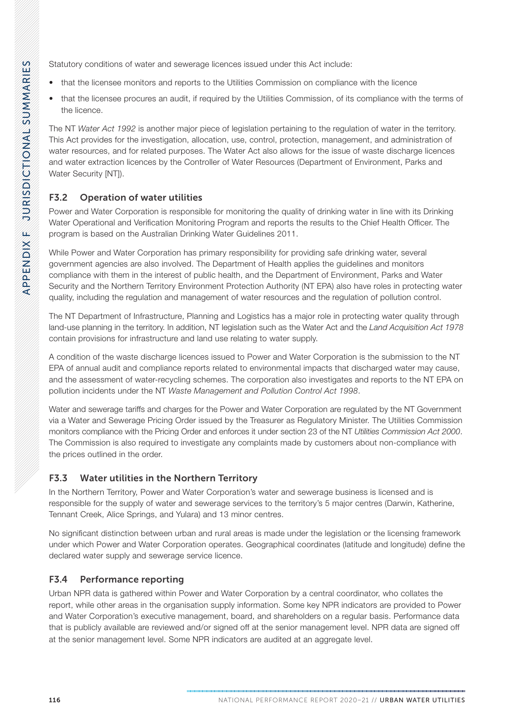Statutory conditions of water and sewerage licences issued under this Act include:

- that the licensee monitors and reports to the Utilities Commission on compliance with the licence
- that the licensee procures an audit, if required by the Utilities Commission, of its compliance with the terms of the licence.

The NT *Water Act 1992* is another major piece of legislation pertaining to the regulation of water in the territory. This Act provides for the investigation, allocation, use, control, protection, management, and administration of water resources, and for related purposes. The Water Act also allows for the issue of waste discharge licences and water extraction licences by the Controller of Water Resources (Department of Environment, Parks and Water Security [NT]).

# F3.2 Operation of water utilities

Power and Water Corporation is responsible for monitoring the quality of drinking water in line with its Drinking Water Operational and Verification Monitoring Program and reports the results to the Chief Health Officer. The program is based on the Australian Drinking Water Guidelines 2011.

While Power and Water Corporation has primary responsibility for providing safe drinking water, several government agencies are also involved. The Department of Health applies the guidelines and monitors compliance with them in the interest of public health, and the Department of Environment, Parks and Water Security and the Northern Territory Environment Protection Authority (NT EPA) also have roles in protecting water quality, including the regulation and management of water resources and the regulation of pollution control.

The NT Department of Infrastructure, Planning and Logistics has a major role in protecting water quality through land-use planning in the territory. In addition, NT legislation such as the Water Act and the *Land Acquisition Act 1978* contain provisions for infrastructure and land use relating to water supply.

A condition of the waste discharge licences issued to Power and Water Corporation is the submission to the NT EPA of annual audit and compliance reports related to environmental impacts that discharged water may cause, and the assessment of water-recycling schemes. The corporation also investigates and reports to the NT EPA on pollution incidents under the NT *Waste Management and Pollution Control Act 1998*.

Water and sewerage tariffs and charges for the Power and Water Corporation are regulated by the NT Government via a Water and Sewerage Pricing Order issued by the Treasurer as Regulatory Minister. The Utilities Commission monitors compliance with the Pricing Order and enforces it under section 23 of the NT *Utilities Commission Act 2000*. The Commission is also required to investigate any complaints made by customers about non-compliance with the prices outlined in the order.

# F3.3 Water utilities in the Northern Territory

In the Northern Territory, Power and Water Corporation's water and sewerage business is licensed and is responsible for the supply of water and sewerage services to the territory's 5 major centres (Darwin, Katherine, Tennant Creek, Alice Springs, and Yulara) and 13 minor centres.

No significant distinction between urban and rural areas is made under the legislation or the licensing framework under which Power and Water Corporation operates. Geographical coordinates (latitude and longitude) define the declared water supply and sewerage service licence.

#### F3.4 Performance reporting

Urban NPR data is gathered within Power and Water Corporation by a central coordinator, who collates the report, while other areas in the organisation supply information. Some key NPR indicators are provided to Power and Water Corporation's executive management, board, and shareholders on a regular basis. Performance data that is publicly available are reviewed and/or signed off at the senior management level. NPR data are signed off at the senior management level. Some NPR indicators are audited at an aggregate level.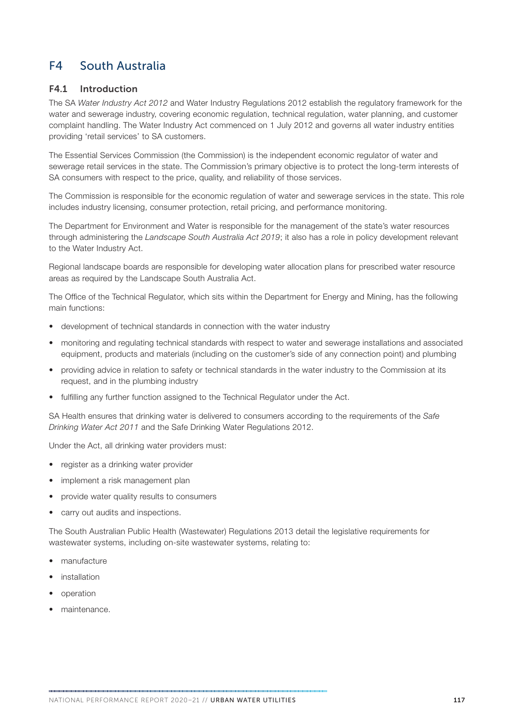# F4 South Australia

#### F4.1 Introduction

The SA *Water Industry Act 2012* and Water Industry Regulations 2012 establish the regulatory framework for the water and sewerage industry, covering economic regulation, technical regulation, water planning, and customer complaint handling. The Water Industry Act commenced on 1 July 2012 and governs all water industry entities providing 'retail services' to SA customers.

The Essential Services Commission (the Commission) is the independent economic regulator of water and sewerage retail services in the state. The Commission's primary objective is to protect the long-term interests of SA consumers with respect to the price, quality, and reliability of those services.

The Commission is responsible for the economic regulation of water and sewerage services in the state. This role includes industry licensing, consumer protection, retail pricing, and performance monitoring.

The Department for Environment and Water is responsible for the management of the state's water resources through administering the *Landscape South Australia Act 2019*; it also has a role in policy development relevant to the Water Industry Act.

Regional landscape boards are responsible for developing water allocation plans for prescribed water resource areas as required by the Landscape South Australia Act.

The Office of the Technical Regulator, which sits within the Department for Energy and Mining, has the following main functions:

- development of technical standards in connection with the water industry
- monitoring and regulating technical standards with respect to water and sewerage installations and associated equipment, products and materials (including on the customer's side of any connection point) and plumbing
- providing advice in relation to safety or technical standards in the water industry to the Commission at its request, and in the plumbing industry
- fulfilling any further function assigned to the Technical Regulator under the Act.

SA Health ensures that drinking water is delivered to consumers according to the requirements of the *Safe Drinking Water Act 2011* and the Safe Drinking Water Regulations 2012.

Under the Act, all drinking water providers must:

- register as a drinking water provider
- implement a risk management plan
- provide water quality results to consumers
- carry out audits and inspections.

The South Australian Public Health (Wastewater) Regulations 2013 detail the legislative requirements for wastewater systems, including on-site wastewater systems, relating to:

- manufacture
- **installation**
- operation
- maintenance.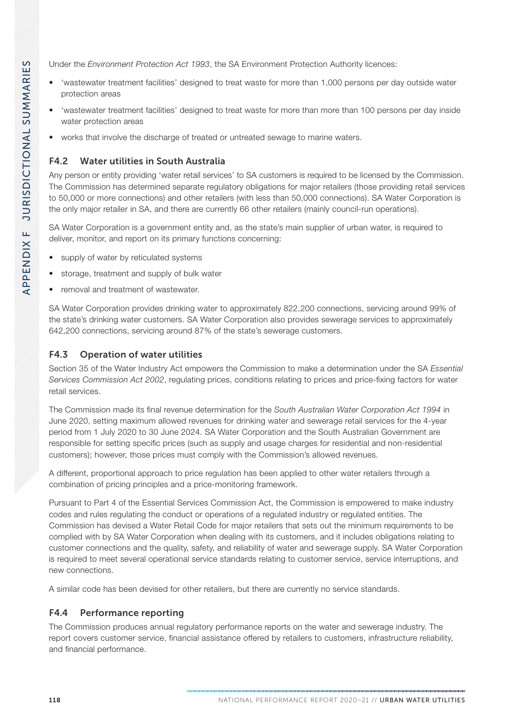Under the *Environment Protection Act 1993*, the SA Environment Protection Authority licences:

- 'wastewater treatment facilities' designed to treat waste for more than 1,000 persons per day outside water protection areas
- 'wastewater treatment facilities' designed to treat waste for more than more than 100 persons per day inside water protection areas
- works that involve the discharge of treated or untreated sewage to marine waters.

# F4.2 Water utilities in South Australia

Any person or entity providing 'water retail services' to SA customers is required to be licensed by the Commission. The Commission has determined separate regulatory obligations for major retailers (those providing retail services to 50,000 or more connections) and other retailers (with less than 50,000 connections). SA Water Corporation is the only major retailer in SA, and there are currently 66 other retailers (mainly council-run operations).

SA Water Corporation is a government entity and, as the state's main supplier of urban water, is required to deliver, monitor, and report on its primary functions concerning:

- supply of water by reticulated systems
- storage, treatment and supply of bulk water
- removal and treatment of wastewater.

SA Water Corporation provides drinking water to approximately 822,200 connections, servicing around 99% of the state's drinking water customers. SA Water Corporation also provides sewerage services to approximately 642,200 connections, servicing around 87% of the state's sewerage customers.

# F4.3 Operation of water utilities

Section 35 of the Water Industry Act empowers the Commission to make a determination under the SA *Essential Services Commission Act 2002*, regulating prices, conditions relating to prices and price-fixing factors for water retail services.

The Commission made its final revenue determination for the *South Australian Water Corporation Act 1994* in June 2020, setting maximum allowed revenues for drinking water and sewerage retail services for the 4-year period from 1 July 2020 to 30 June 2024. SA Water Corporation and the South Australian Government are responsible for setting specific prices (such as supply and usage charges for residential and non-residential customers); however, those prices must comply with the Commission's allowed revenues.

A different, proportional approach to price regulation has been applied to other water retailers through a combination of pricing principles and a price-monitoring framework.

Pursuant to Part 4 of the Essential Services Commission Act, the Commission is empowered to make industry codes and rules regulating the conduct or operations of a regulated industry or regulated entities. The Commission has devised a Water Retail Code for major retailers that sets out the minimum requirements to be complied with by SA Water Corporation when dealing with its customers, and it includes obligations relating to customer connections and the quality, safety, and reliability of water and sewerage supply. SA Water Corporation is required to meet several operational service standards relating to customer service, service interruptions, and new connections.

A similar code has been devised for other retailers, but there are currently no service standards.

# F4.4 Performance reporting

The Commission produces annual regulatory performance reports on the water and sewerage industry. The report covers customer service, financial assistance offered by retailers to customers, infrastructure reliability, and financial performance.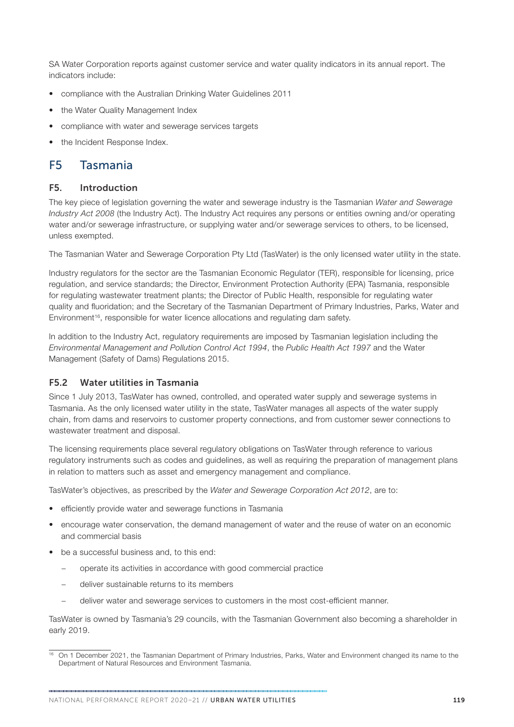SA Water Corporation reports against customer service and water quality indicators in its annual report. The indicators include:

- compliance with the Australian Drinking Water Guidelines 2011
- the Water Quality Management Index
- compliance with water and sewerage services targets
- the Incident Response Index.

# F5 Tasmania

#### F5. Introduction

The key piece of legislation governing the water and sewerage industry is the Tasmanian *Water and Sewerage Industry Act 2008* (the Industry Act). The Industry Act requires any persons or entities owning and/or operating water and/or sewerage infrastructure, or supplying water and/or sewerage services to others, to be licensed, unless exempted.

The Tasmanian Water and Sewerage Corporation Pty Ltd (TasWater) is the only licensed water utility in the state.

Industry regulators for the sector are the Tasmanian Economic Regulator (TER), responsible for licensing, price regulation, and service standards; the Director, Environment Protection Authority (EPA) Tasmania, responsible for regulating wastewater treatment plants; the Director of Public Health, responsible for regulating water quality and fluoridation; and the Secretary of the Tasmanian Department of Primary Industries, Parks, Water and  $Environment^{16}$ , responsible for water licence allocations and regulating dam safety.

In addition to the Industry Act, regulatory requirements are imposed by Tasmanian legislation including the *Environmental Management and Pollution Control Act 1994*, the *Public Health Act 1997* and the Water Management (Safety of Dams) Regulations 2015.

#### F5.2 Water utilities in Tasmania

Since 1 July 2013, TasWater has owned, controlled, and operated water supply and sewerage systems in Tasmania. As the only licensed water utility in the state, TasWater manages all aspects of the water supply chain, from dams and reservoirs to customer property connections, and from customer sewer connections to wastewater treatment and disposal.

The licensing requirements place several regulatory obligations on TasWater through reference to various regulatory instruments such as codes and guidelines, as well as requiring the preparation of management plans in relation to matters such as asset and emergency management and compliance.

TasWater's objectives, as prescribed by the *Water and Sewerage Corporation Act 2012*, are to:

- efficiently provide water and sewerage functions in Tasmania
- encourage water conservation, the demand management of water and the reuse of water on an economic and commercial basis
- be a successful business and, to this end:
	- − operate its activities in accordance with good commercial practice
	- − deliver sustainable returns to its members
	- − deliver water and sewerage services to customers in the most cost-efficient manner.

TasWater is owned by Tasmania's 29 councils, with the Tasmanian Government also becoming a shareholder in early 2019.

<sup>16</sup> On 1 December 2021, the Tasmanian Department of Primary Industries, Parks, Water and Environment changed its name to the Department of Natural Resources and Environment Tasmania.

NATIONAL PERFORMANCE REPORT 2020-21 // URBAN WATER UTILITIES 119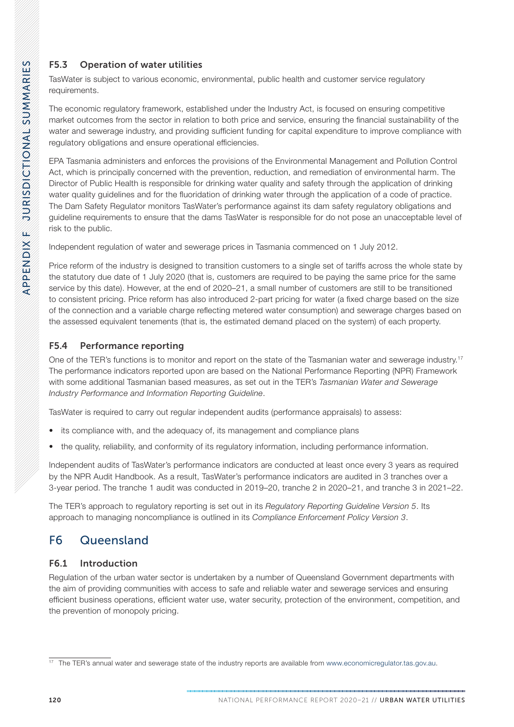# F5.3 Operation of water utilities

TasWater is subject to various economic, environmental, public health and customer service regulatory requirements.

The economic regulatory framework, established under the Industry Act, is focused on ensuring competitive market outcomes from the sector in relation to both price and service, ensuring the financial sustainability of the water and sewerage industry, and providing sufficient funding for capital expenditure to improve compliance with regulatory obligations and ensure operational efficiencies.

EPA Tasmania administers and enforces the provisions of the Environmental Management and Pollution Control Act, which is principally concerned with the prevention, reduction, and remediation of environmental harm. The Director of Public Health is responsible for drinking water quality and safety through the application of drinking water quality quidelines and for the fluoridation of drinking water through the application of a code of practice. The Dam Safety Regulator monitors TasWater's performance against its dam safety regulatory obligations and guideline requirements to ensure that the dams TasWater is responsible for do not pose an unacceptable level of risk to the public.

Independent regulation of water and sewerage prices in Tasmania commenced on 1 July 2012.

Price reform of the industry is designed to transition customers to a single set of tariffs across the whole state by the statutory due date of 1 July 2020 (that is, customers are required to be paying the same price for the same service by this date). However, at the end of 2020–21, a small number of customers are still to be transitioned to consistent pricing. Price reform has also introduced 2-part pricing for water (a fixed charge based on the size of the connection and a variable charge reflecting metered water consumption) and sewerage charges based on the assessed equivalent tenements (that is, the estimated demand placed on the system) of each property.

# F5.4 Performance reporting

One of the TER's functions is to monitor and report on the state of the Tasmanian water and sewerage industry.<sup>17</sup> The performance indicators reported upon are based on the National Performance Reporting (NPR) Framework with some additional Tasmanian based measures, as set out in the TER's *Tasmanian Water and Sewerage Industry Performance and Information Reporting Guideline*.

TasWater is required to carry out regular independent audits (performance appraisals) to assess:

- its compliance with, and the adequacy of, its management and compliance plans
- the quality, reliability, and conformity of its regulatory information, including performance information.

Independent audits of TasWater's performance indicators are conducted at least once every 3 years as required by the NPR Audit Handbook. As a result, TasWater's performance indicators are audited in 3 tranches over a 3-year period. The tranche 1 audit was conducted in 2019–20, tranche 2 in 2020–21, and tranche 3 in 2021–22.

The TER's approach to regulatory reporting is set out in its *Regulatory Reporting Guideline Version 5*. Its approach to managing noncompliance is outlined in its *Compliance Enforcement Policy Version 3*.

# F6 Queensland

# F6.1 Introduction

Regulation of the urban water sector is undertaken by a number of Queensland Government departments with the aim of providing communities with access to safe and reliable water and sewerage services and ensuring efficient business operations, efficient water use, water security, protection of the environment, competition, and the prevention of monopoly pricing.

<sup>&</sup>lt;sup>17</sup> The TER's annual water and sewerage state of the industry reports are available from [www.economicregulator.tas.gov.au.](http://www.economicregulator.tas.gov.au)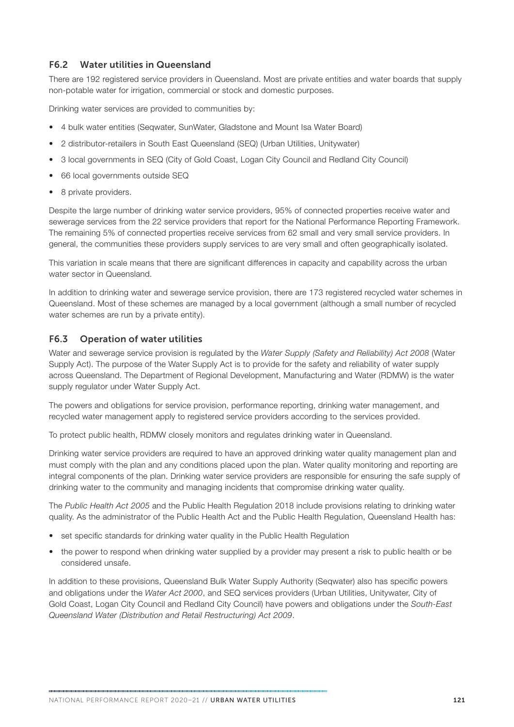#### F6.2 Water utilities in Queensland

There are 192 registered service providers in Queensland. Most are private entities and water boards that supply non-potable water for irrigation, commercial or stock and domestic purposes.

Drinking water services are provided to communities by:

- 4 bulk water entities (Seqwater, SunWater, Gladstone and Mount Isa Water Board)
- 2 distributor-retailers in South East Queensland (SEQ) (Urban Utilities, Unitywater)
- 3 local governments in SEQ (City of Gold Coast, Logan City Council and Redland City Council)
- 66 local governments outside SEQ
- 8 private providers.

Despite the large number of drinking water service providers, 95% of connected properties receive water and sewerage services from the 22 service providers that report for the National Performance Reporting Framework. The remaining 5% of connected properties receive services from 62 small and very small service providers. In general, the communities these providers supply services to are very small and often geographically isolated.

This variation in scale means that there are significant differences in capacity and capability across the urban water sector in Queensland.

In addition to drinking water and sewerage service provision, there are 173 registered recycled water schemes in Queensland. Most of these schemes are managed by a local government (although a small number of recycled water schemes are run by a private entity).

#### F6.3 Operation of water utilities

Water and sewerage service provision is regulated by the *Water Supply (Safety and Reliability) Act 2008* (Water Supply Act). The purpose of the Water Supply Act is to provide for the safety and reliability of water supply across Queensland. The Department of Regional Development, Manufacturing and Water (RDMW) is the water supply regulator under Water Supply Act.

The powers and obligations for service provision, performance reporting, drinking water management, and recycled water management apply to registered service providers according to the services provided.

To protect public health, RDMW closely monitors and regulates drinking water in Queensland.

Drinking water service providers are required to have an approved drinking water quality management plan and must comply with the plan and any conditions placed upon the plan. Water quality monitoring and reporting are integral components of the plan. Drinking water service providers are responsible for ensuring the safe supply of drinking water to the community and managing incidents that compromise drinking water quality.

The *Public Health Act 2005* and the Public Health Regulation 2018 include provisions relating to drinking water quality. As the administrator of the Public Health Act and the Public Health Regulation, Queensland Health has:

- set specific standards for drinking water quality in the Public Health Regulation
- the power to respond when drinking water supplied by a provider may present a risk to public health or be considered unsafe.

In addition to these provisions, Queensland Bulk Water Supply Authority (Seqwater) also has specific powers and obligations under the *Water Act 2000*, and SEQ services providers (Urban Utilities, Unitywater, City of Gold Coast, Logan City Council and Redland City Council) have powers and obligations under the *South-East Queensland Water (Distribution and Retail Restructuring) Act 2009*.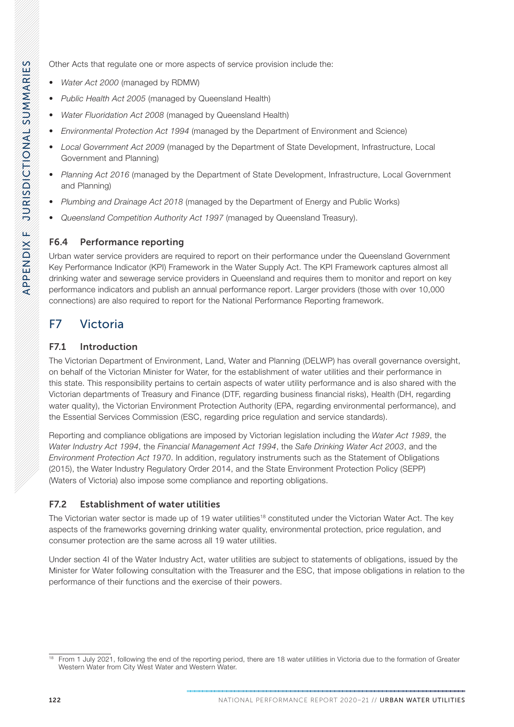Other Acts that regulate one or more aspects of service provision include the:

- *Water Act 2000* (managed by RDMW)
- *Public Health Act 2005* (managed by Queensland Health)
- *Water Fluoridation Act 2008* (managed by Queensland Health)
- *Environmental Protection Act 1994* (managed by the Department of Environment and Science)
- *Local Government Act 2009* (managed by the Department of State Development, Infrastructure, Local Government and Planning)
- *Planning Act 2016* (managed by the Department of State Development, Infrastructure, Local Government and Planning)
- *Plumbing and Drainage Act 2018* (managed by the Department of Energy and Public Works)
- *Queensland Competition Authority Act 1997* (managed by Queensland Treasury).

### F6.4 Performance reporting

Urban water service providers are required to report on their performance under the Queensland Government Key Performance Indicator (KPI) Framework in the Water Supply Act. The KPI Framework captures almost all drinking water and sewerage service providers in Queensland and requires them to monitor and report on key performance indicators and publish an annual performance report. Larger providers (those with over 10,000 connections) are also required to report for the National Performance Reporting framework.

# F7 Victoria

### F7.1 Introduction

The Victorian Department of Environment, Land, Water and Planning (DELWP) has overall governance oversight, on behalf of the Victorian Minister for Water, for the establishment of water utilities and their performance in this state. This responsibility pertains to certain aspects of water utility performance and is also shared with the Victorian departments of Treasury and Finance (DTF, regarding business financial risks), Health (DH, regarding water quality), the Victorian Environment Protection Authority (EPA, regarding environmental performance), and the Essential Services Commission (ESC, regarding price regulation and service standards).

Reporting and compliance obligations are imposed by Victorian legislation including the *Water Act 1989*, the *Water Industry Act 1994*, the *Financial Management Act 1994*, the *Safe Drinking Water Act 2003*, and the *Environment Protection Act 1970*. In addition, regulatory instruments such as the Statement of Obligations (2015), the Water Industry Regulatory Order 2014, and the State Environment Protection Policy (SEPP) (Waters of Victoria) also impose some compliance and reporting obligations.

#### F7.2 Establishment of water utilities

The Victorian water sector is made up of 19 water utilities<sup>18</sup> constituted under the Victorian Water Act. The key aspects of the frameworks governing drinking water quality, environmental protection, price regulation, and consumer protection are the same across all 19 water utilities.

Under section 4I of the Water Industry Act, water utilities are subject to statements of obligations, issued by the Minister for Water following consultation with the Treasurer and the ESC, that impose obligations in relation to the performance of their functions and the exercise of their powers.

<sup>&</sup>lt;sup>18</sup> From 1 July 2021, following the end of the reporting period, there are 18 water utilities in Victoria due to the formation of Greater Western Water from City West Water and Western Water.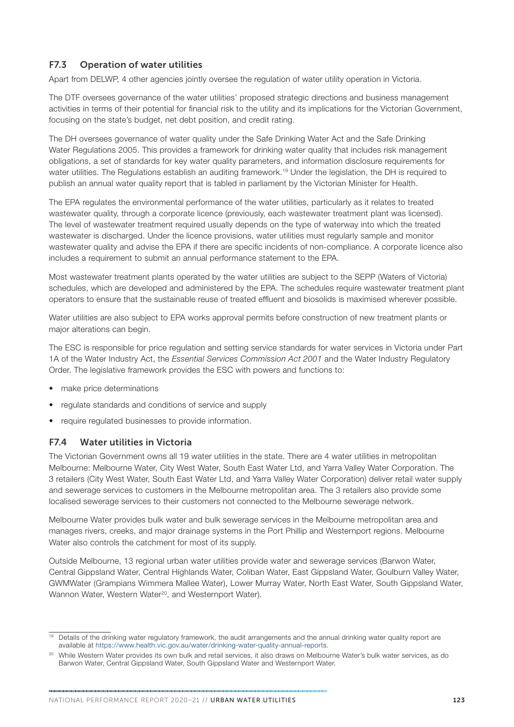### F7.3 Operation of water utilities

Apart from DELWP, 4 other agencies jointly oversee the regulation of water utility operation in Victoria.

The DTF oversees governance of the water utilities' proposed strategic directions and business management activities in terms of their potential for financial risk to the utility and its implications for the Victorian Government, focusing on the state's budget, net debt position, and credit rating.

The DH oversees governance of water quality under the Safe Drinking Water Act and the Safe Drinking Water Regulations 2005. This provides a framework for drinking water quality that includes risk management obligations, a set of standards for key water quality parameters, and information disclosure requirements for water utilities. The Regulations establish an auditing framework.<sup>19</sup> Under the legislation, the DH is required to publish an annual water quality report that is tabled in parliament by the Victorian Minister for Health.

The EPA regulates the environmental performance of the water utilities, particularly as it relates to treated wastewater quality, through a corporate licence (previously, each wastewater treatment plant was licensed). The level of wastewater treatment required usually depends on the type of waterway into which the treated wastewater is discharged. Under the licence provisions, water utilities must regularly sample and monitor wastewater quality and advise the EPA if there are specific incidents of non-compliance. A corporate licence also includes a requirement to submit an annual performance statement to the EPA.

Most wastewater treatment plants operated by the water utilities are subject to the SEPP (Waters of Victoria) schedules, which are developed and administered by the EPA. The schedules require wastewater treatment plant operators to ensure that the sustainable reuse of treated effluent and biosolids is maximised wherever possible.

Water utilities are also subject to EPA works approval permits before construction of new treatment plants or major alterations can begin.

The ESC is responsible for price regulation and setting service standards for water services in Victoria under Part 1A of the Water Industry Act, the *Essential Services Commission Act 2001* and the Water Industry Regulatory Order. The legislative framework provides the ESC with powers and functions to:

- make price determinations
- regulate standards and conditions of service and supply
- require regulated businesses to provide information.

#### F7.4 Water utilities in Victoria

The Victorian Government owns all 19 water utilities in the state. There are 4 water utilities in metropolitan Melbourne: Melbourne Water, City West Water, South East Water Ltd, and Yarra Valley Water Corporation. The 3 retailers (City West Water, South East Water Ltd, and Yarra Valley Water Corporation) deliver retail water supply and sewerage services to customers in the Melbourne metropolitan area. The 3 retailers also provide some localised sewerage services to their customers not connected to the Melbourne sewerage network.

Melbourne Water provides bulk water and bulk sewerage services in the Melbourne metropolitan area and manages rivers, creeks, and major drainage systems in the Port Phillip and Westernport regions. Melbourne Water also controls the catchment for most of its supply.

Outside Melbourne, 13 regional urban water utilities provide water and sewerage services (Barwon Water, Central Gippsland Water, Central Highlands Water, Coliban Water, East Gippsland Water, Goulburn Valley Water, GWMWater (Grampians Wimmera Mallee Water), Lower Murray Water, North East Water, South Gippsland Water, Wannon Water, Western Water<sup>20</sup>, and Westernport Water).

<sup>&</sup>lt;sup>19</sup> Details of the drinking water regulatory framework, the audit arrangements and the annual drinking water quality report are available at <https://www.health.vic.gov.au/water/drinking-water-quality-annual-reports>.

<sup>&</sup>lt;sup>20</sup> While Western Water provides its own bulk and retail services, it also draws on Melbourne Water's bulk water services, as do Barwon Water, Central Gippsland Water, South Gippsland Water and Westernport Water.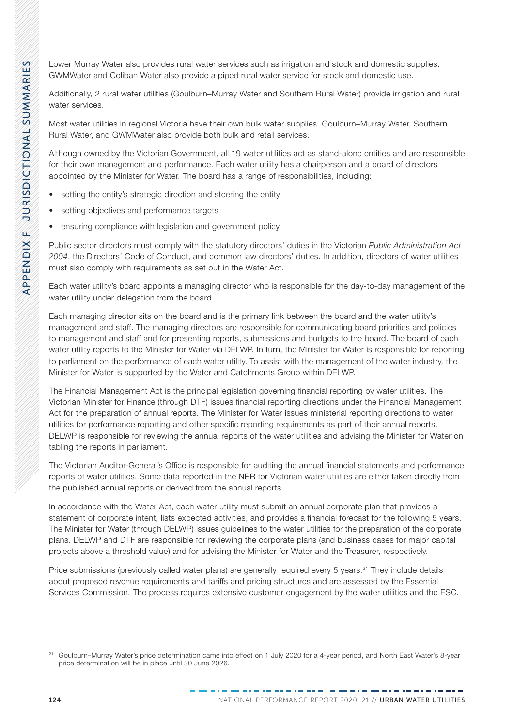Lower Murray Water also provides rural water services such as irrigation and stock and domestic supplies. GWMWater and Coliban Water also provide a piped rural water service for stock and domestic use.

Additionally, 2 rural water utilities (Goulburn–Murray Water and Southern Rural Water) provide irrigation and rural water services.

Most water utilities in regional Victoria have their own bulk water supplies. Goulburn–Murray Water, Southern Rural Water, and GWMWater also provide both bulk and retail services.

Although owned by the Victorian Government, all 19 water utilities act as stand-alone entities and are responsible for their own management and performance. Each water utility has a chairperson and a board of directors appointed by the Minister for Water. The board has a range of responsibilities, including:

- setting the entity's strategic direction and steering the entity
- setting objectives and performance targets
- ensuring compliance with legislation and government policy.

Public sector directors must comply with the statutory directors' duties in the Victorian *Public Administration Act 2004*, the Directors' Code of Conduct, and common law directors' duties. In addition, directors of water utilities must also comply with requirements as set out in the Water Act.

Each water utility's board appoints a managing director who is responsible for the day-to-day management of the water utility under delegation from the board.

Each managing director sits on the board and is the primary link between the board and the water utility's management and staff. The managing directors are responsible for communicating board priorities and policies to management and staff and for presenting reports, submissions and budgets to the board. The board of each water utility reports to the Minister for Water via DELWP. In turn, the Minister for Water is responsible for reporting to parliament on the performance of each water utility. To assist with the management of the water industry, the Minister for Water is supported by the Water and Catchments Group within DELWP.

The Financial Management Act is the principal legislation governing financial reporting by water utilities. The Victorian Minister for Finance (through DTF) issues financial reporting directions under the Financial Management Act for the preparation of annual reports. The Minister for Water issues ministerial reporting directions to water utilities for performance reporting and other specific reporting requirements as part of their annual reports. DELWP is responsible for reviewing the annual reports of the water utilities and advising the Minister for Water on tabling the reports in parliament.

The Victorian Auditor-General's Office is responsible for auditing the annual financial statements and performance reports of water utilities. Some data reported in the NPR for Victorian water utilities are either taken directly from the published annual reports or derived from the annual reports.

In accordance with the Water Act, each water utility must submit an annual corporate plan that provides a statement of corporate intent, lists expected activities, and provides a financial forecast for the following 5 years. The Minister for Water (through DELWP) issues guidelines to the water utilities for the preparation of the corporate plans. DELWP and DTF are responsible for reviewing the corporate plans (and business cases for major capital projects above a threshold value) and for advising the Minister for Water and the Treasurer, respectively.

Price submissions (previously called water plans) are generally required every 5 years.<sup>21</sup> They include details about proposed revenue requirements and tariffs and pricing structures and are assessed by the Essential Services Commission. The process requires extensive customer engagement by the water utilities and the ESC.

<sup>21</sup> Goulburn–Murray Water's price determination came into effect on 1 July 2020 for a 4-year period, and North East Water's 8-year price determination will be in place until 30 June 2026.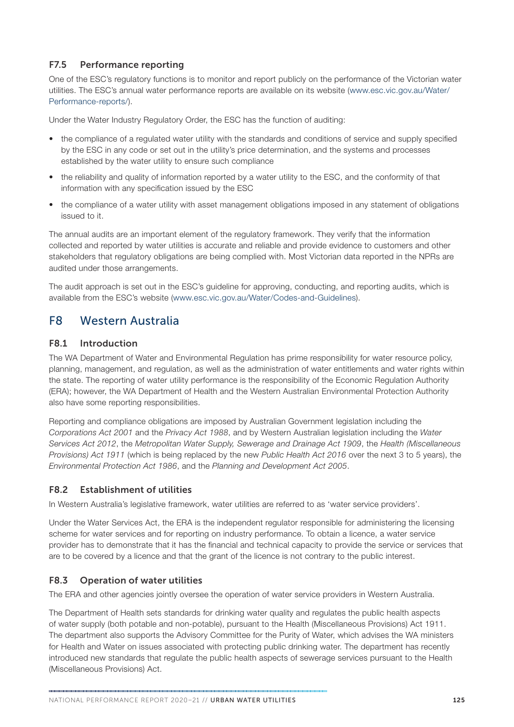#### F7.5 Performance reporting

One of the ESC's regulatory functions is to monitor and report publicly on the performance of the Victorian water utilities. The ESC's annual water performance reports are available on its website [\(www.esc.vic.gov.au/Water/](http://www.esc.vic.gov.au/Water/Performance-reports/) [Performance-reports/](http://www.esc.vic.gov.au/Water/Performance-reports/)).

Under the Water Industry Regulatory Order, the ESC has the function of auditing:

- the compliance of a regulated water utility with the standards and conditions of service and supply specified by the ESC in any code or set out in the utility's price determination, and the systems and processes established by the water utility to ensure such compliance
- the reliability and quality of information reported by a water utility to the ESC, and the conformity of that information with any specification issued by the ESC
- the compliance of a water utility with asset management obligations imposed in any statement of obligations issued to it.

The annual audits are an important element of the regulatory framework. They verify that the information collected and reported by water utilities is accurate and reliable and provide evidence to customers and other stakeholders that regulatory obligations are being complied with. Most Victorian data reported in the NPRs are audited under those arrangements.

The audit approach is set out in the ESC's guideline for approving, conducting, and reporting audits, which is available from the ESC's website ([www.esc.vic.gov.au/Water/Codes-and-Guidelines](http://www.esc.vic.gov.au/Water/Codes-and-Guidelines)).

# F8 Western Australia

#### F8.1 Introduction

The WA Department of Water and Environmental Regulation has prime responsibility for water resource policy, planning, management, and regulation, as well as the administration of water entitlements and water rights within the state. The reporting of water utility performance is the responsibility of the Economic Regulation Authority (ERA); however, the WA Department of Health and the Western Australian Environmental Protection Authority also have some reporting responsibilities.

Reporting and compliance obligations are imposed by Australian Government legislation including the *Corporations Act 2001* and the *Privacy Act 1988*, and by Western Australian legislation including the *Water Services Act 2012*, the *Metropolitan Water Supply, Sewerage and Drainage Act 1909*, the *Health (Miscellaneous Provisions) Act 1911* (which is being replaced by the new *Public Health Act 2016* over the next 3 to 5 years), the *Environmental Protection Act 1986*, and the *Planning and Development Act 2005*.

#### F8.2 Establishment of utilities

In Western Australia's legislative framework, water utilities are referred to as 'water service providers'.

Under the Water Services Act, the ERA is the independent regulator responsible for administering the licensing scheme for water services and for reporting on industry performance. To obtain a licence, a water service provider has to demonstrate that it has the financial and technical capacity to provide the service or services that are to be covered by a licence and that the grant of the licence is not contrary to the public interest.

#### F8.3 Operation of water utilities

The ERA and other agencies jointly oversee the operation of water service providers in Western Australia.

The Department of Health sets standards for drinking water quality and regulates the public health aspects of water supply (both potable and non-potable), pursuant to the Health (Miscellaneous Provisions) Act 1911. The department also supports the Advisory Committee for the Purity of Water, which advises the WA ministers for Health and Water on issues associated with protecting public drinking water. The department has recently introduced new standards that regulate the public health aspects of sewerage services pursuant to the Health (Miscellaneous Provisions) Act.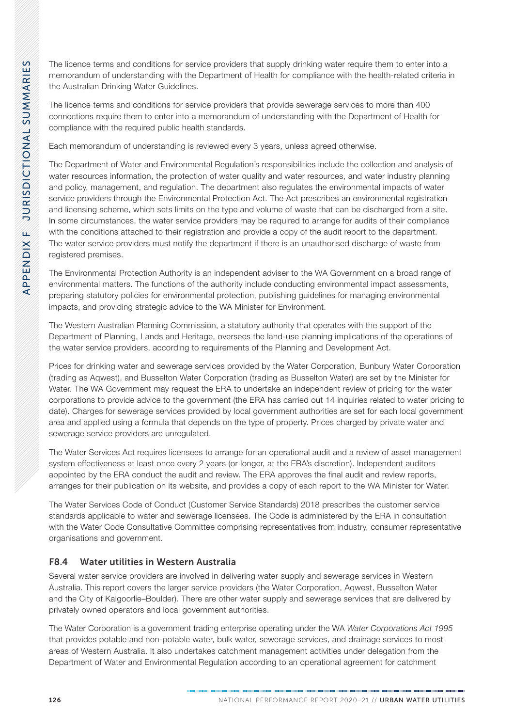The licence terms and conditions for service providers that supply drinking water require them to enter into a memorandum of understanding with the Department of Health for compliance with the health-related criteria in the Australian Drinking Water Guidelines.

The licence terms and conditions for service providers that provide sewerage services to more than 400 connections require them to enter into a memorandum of understanding with the Department of Health for compliance with the required public health standards.

Each memorandum of understanding is reviewed every 3 years, unless agreed otherwise.

The Department of Water and Environmental Regulation's responsibilities include the collection and analysis of water resources information, the protection of water quality and water resources, and water industry planning and policy, management, and regulation. The department also regulates the environmental impacts of water service providers through the Environmental Protection Act. The Act prescribes an environmental registration and licensing scheme, which sets limits on the type and volume of waste that can be discharged from a site. In some circumstances, the water service providers may be required to arrange for audits of their compliance with the conditions attached to their registration and provide a copy of the audit report to the department. The water service providers must notify the department if there is an unauthorised discharge of waste from registered premises.

The Environmental Protection Authority is an independent adviser to the WA Government on a broad range of environmental matters. The functions of the authority include conducting environmental impact assessments, preparing statutory policies for environmental protection, publishing guidelines for managing environmental impacts, and providing strategic advice to the WA Minister for Environment.

The Western Australian Planning Commission, a statutory authority that operates with the support of the Department of Planning, Lands and Heritage, oversees the land-use planning implications of the operations of the water service providers, according to requirements of the Planning and Development Act.

Prices for drinking water and sewerage services provided by the Water Corporation, Bunbury Water Corporation (trading as Aqwest), and Busselton Water Corporation (trading as Busselton Water) are set by the Minister for Water. The WA Government may request the ERA to undertake an independent review of pricing for the water corporations to provide advice to the government (the ERA has carried out 14 inquiries related to water pricing to date). Charges for sewerage services provided by local government authorities are set for each local government area and applied using a formula that depends on the type of property. Prices charged by private water and sewerage service providers are unregulated.

The Water Services Act requires licensees to arrange for an operational audit and a review of asset management system effectiveness at least once every 2 years (or longer, at the ERA's discretion). Independent auditors appointed by the ERA conduct the audit and review. The ERA approves the final audit and review reports, arranges for their publication on its website, and provides a copy of each report to the WA Minister for Water.

The Water Services Code of Conduct (Customer Service Standards) 2018 prescribes the customer service standards applicable to water and sewerage licensees. The Code is administered by the ERA in consultation with the Water Code Consultative Committee comprising representatives from industry, consumer representative organisations and government.

# F8.4 Water utilities in Western Australia

Several water service providers are involved in delivering water supply and sewerage services in Western Australia. This report covers the larger service providers (the Water Corporation, Aqwest, Busselton Water and the City of Kalgoorlie–Boulder). There are other water supply and sewerage services that are delivered by privately owned operators and local government authorities.

The Water Corporation is a government trading enterprise operating under the WA *Water Corporations Act 1995* that provides potable and non-potable water, bulk water, sewerage services, and drainage services to most areas of Western Australia. It also undertakes catchment management activities under delegation from the Department of Water and Environmental Regulation according to an operational agreement for catchment